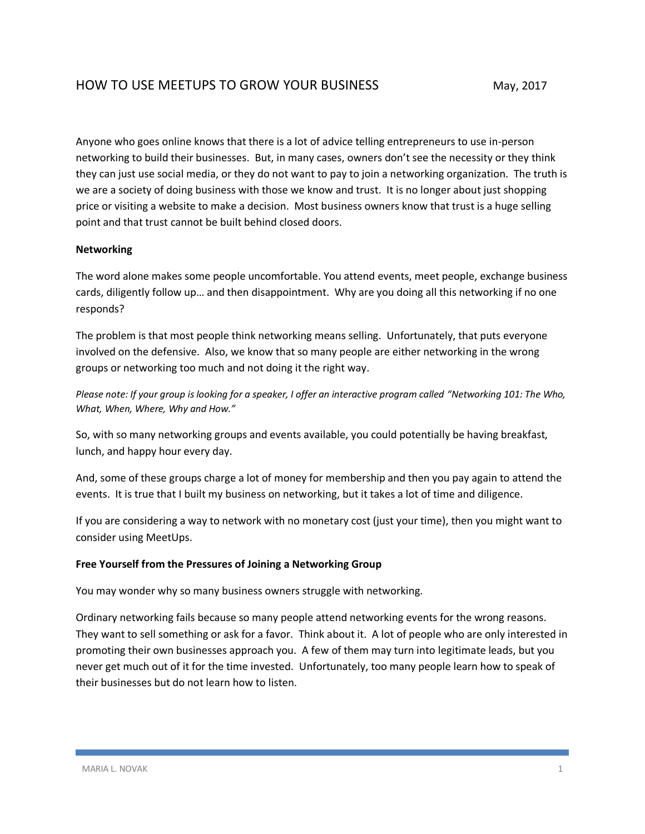Anyone who goes online knows that there is a lot of advice telling entrepreneurs to use in-person networking to build their businesses. But, in many cases, owners don't see the necessity or they think they can just use social media, or they do not want to pay to join a networking organization. The truth is we are a society of doing business with those we know and trust. It is no longer about just shopping price or visiting a website to make a decision. Most business owners know that trust is a huge selling point and that trust cannot be built behind closed doors.

## **Networking**

The word alone makes some people uncomfortable. You attend events, meet people, exchange business cards, diligently follow up… and then disappointment. Why are you doing all this networking if no one responds?

The problem is that most people think networking means selling. Unfortunately, that puts everyone involved on the defensive. Also, we know that so many people are either networking in the wrong groups or networking too much and not doing it the right way.

*Please note: If your group is looking for a speaker, I offer an interactive program called "Networking 101: The Who, What, When, Where, Why and How."*

So, with so many networking groups and events available, you could potentially be having breakfast, lunch, and happy hour every day.

And, some of these groups charge a lot of money for membership and then you pay again to attend the events. It is true that I built my business on networking, but it takes a lot of time and diligence.

If you are considering a way to network with no monetary cost (just your time), then you might want to consider using MeetUps.

## **Free Yourself from the Pressures of Joining a Networking Group**

You may wonder why so many business owners struggle with networking.

Ordinary networking fails because so many people attend networking events for the wrong reasons. They want to sell something or ask for a favor. Think about it. A lot of people who are only interested in promoting their own businesses approach you. A few of them may turn into legitimate leads, but you never get much out of it for the time invested. Unfortunately, too many people learn how to speak of their businesses but do not learn how to listen.